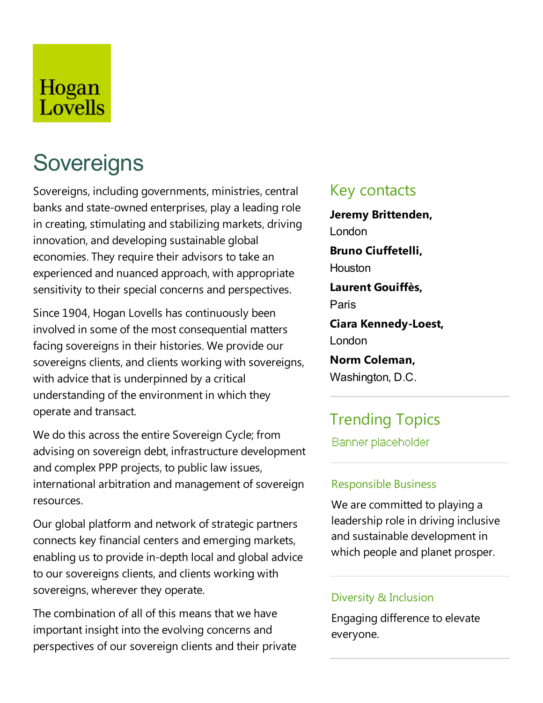## Hogan Lovells

# **Sovereigns**

Sovereigns, including governments, ministries, central banks and state-owned enterprises, play a leading role in creating, stimulating and stabilizing markets, driving innovation, and developing sustainable global economies. They require their advisors to take an experienced and nuanced approach, with appropriate sensitivity to their special concerns and perspectives.

Since 1904, Hogan Lovells has continuously been involved in some of the most consequential matters facing sovereigns in their histories. We provide our sovereigns clients, and clients working with sovereigns, with advice that is underpinned by a critical understanding of the environment in which they operate and transact.

We do this across the entire Sovereign Cycle; from advising on sovereign debt, infrastructure development and complex PPP projects, to public law issues, international arbitration and management of sovereign resources.

Our global platform and network of strategic partners connects key financial centers and emerging markets, enabling us to provide in-depth local and global advice to our sovereigns clients, and clients working with sovereigns, wherever they operate.

The combination of all of this means that we have important insight into the evolving concerns and perspectives of our sovereign clients and their private

### Key contacts

**Jeremy Brittenden,** London **Bruno Ciuffetelli,** Houston **Laurent Gouiffès,** Paris **Ciara Kennedy-Loest,** London **Norm Coleman,** Washington, D.C.

### Trending Topics

Banner placeholder

#### Responsible Business

We are committed to playing a leadership role in driving inclusive and sustainable development in which people and planet prosper.

#### Diversity & Inclusion

Engaging difference to elevate everyone.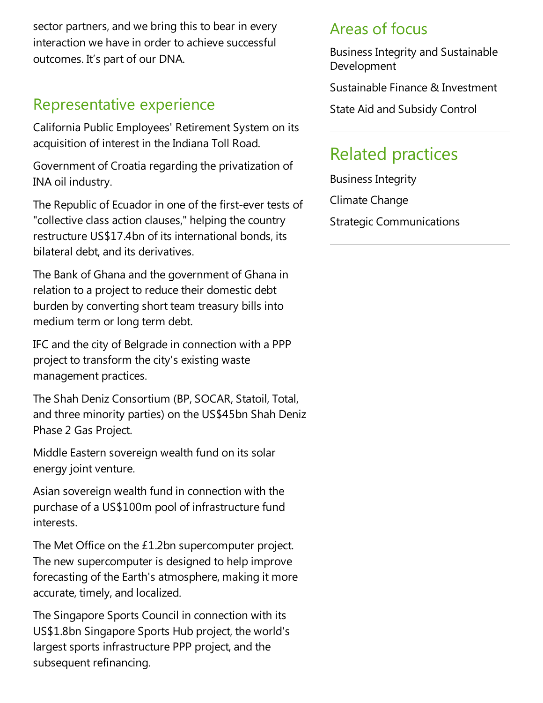sector partners, and we bring this to bear in every interaction we have in order to achieve successful outcomes. It's part of our DNA.

### Representative experience

California PublicEmployees' Retirement System on its acquisition of interest in the Indiana Toll Road.

Government of Croatia regarding the privatization of INA oil industry.

The Republic of Ecuador in one of the first-ever tests of "collective class action clauses," helping the country restructure US\$17.4bn of its international bonds, its bilateral debt, and its derivatives.

The Bank of Ghana and the government of Ghana in relation to a project to reduce their domestic debt burden by converting short team treasury bills into medium term or long term debt.

IFC and the city of Belgrade in connection with a PPP project to transform the city's existing waste management practices.

The Shah Deniz Consortium (BP, SOCAR, Statoil, Total, and three minority parties) on the US\$45bn Shah Deniz Phase 2 Gas Project.

Middle Eastern sovereign wealth fund on its solar energy joint venture.

Asian sovereign wealth fund in connection with the purchase of a US\$100m pool of infrastructure fund interests.

The Met Office on the £1.2bn supercomputer project. The new supercomputer is designed to help improve forecasting of the Earth's atmosphere, making it more accurate, timely, and localized.

The Singapore Sports Council in connection with its US\$1.8bn Singapore Sports Hub project, the world's largest sports infrastructure PPP project, and the subsequent refinancing.

### Areas of focus

Business Integrity and Sustainable Development

Sustainable Finance & Investment

State Aid and Subsidy Control

### Related practices

Business Integrity Climate Change Strategic Communications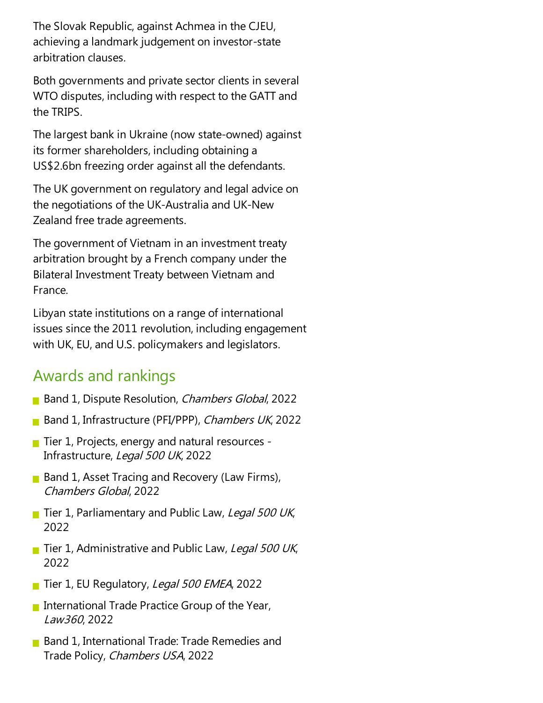The Slovak Republic, against Achmea in the CJEU, achieving alandmark judgement on investor-state arbitration clauses.

Both governments and private sector clients in several WTO disputes, including with respect to the GATT and the TRIPS.

The largest bank in Ukraine (now state-owned) against its former shareholders, including obtaining a US\$2.6bn freezing order against all the defendants.

The UK government on regulatory and legal advice on the negotiations of the UK-Australia and UK-New Zealand free trade agreements.

The government of Vietnam in an investment treaty arbitration brought by a French company under the Bilateral Investment Treaty between Vietnam and France.

Libyan state institutions on a range of international issues since the 2011 revolution, including engagement with UK, EU, and U.S. policymakers and legislators.

### Awards and rankings

- **Band 1, Dispute Resolution, Chambers Global, 2022**
- **Band 1, Infrastructure (PFI/PPP), Chambers UK, 2022**
- $\blacksquare$  Tier 1, Projects, energy and natural resources -Infrastructure, Legal 500 UK, 2022
- **Band 1, Asset Tracing and Recovery (Law Firms),** Chambers Global, 2022
- Tier 1, Parliamentary and Public Law, Legal 500 UK, 2022
- Tier 1, Administrative and Public Law, Legal 500 UK, 2022
- Tier 1, EU Regulatory, Legal 500 EMEA, 2022
- International Trade Practice Group of the Year, Law360, 2022
- Band 1, International Trade: Trade Remedies and Trade Policy, Chambers USA, 2022